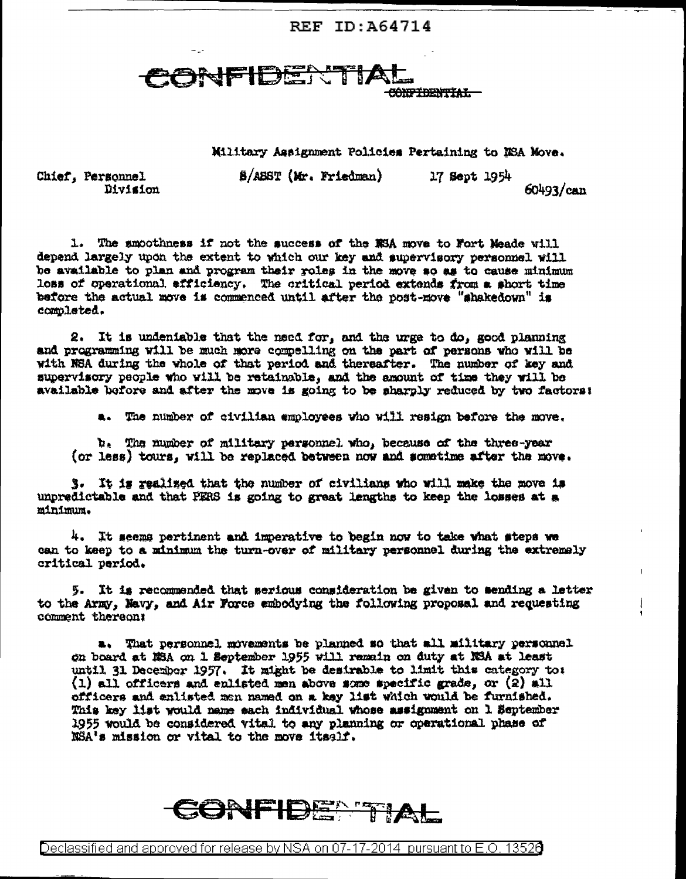REF ID: A64714

JFIDER! **CONFIDENTIAL** 

Military Assignment Policies Pertaining to NSA Move.

**B/ASST (Mr. Friedman)** 17 Sept 1954

 $60493/can$ 

Chief, Personnel Division

1. The amoothness if not the success of the NSA move to Fort Meade will depend largely upon the extent to which our key and supervisory personnel will be available to plan and program their roles in the move so as to cause minimum loss of operational efficiency. The critical period extends from a short time before the actual move is commenced until after the post-move "shakedown" is completed.

2. It is undentable that the need for, and the urge to do, good planning and programming will be much more compelling on the part of persons who will be with NSA during the whole of that period and thereafter. The number of key and supervisory people who will be retainable, and the amount of time they will be available before and after the move is going to be sharply reduced by two factors:

a. The number of civilian employees who will resign before the move.

b. The number of military personnel who, because of the three-year (or less) tours, will be replaced between now and sometime after the move.

3. It is realized that the number of civilians who will make the move is unpredictable and that PERS is going to great lengths to keep the losses at a minimum.

4. It seems pertinent and imperative to begin now to take what steps we can to keep to a minimum the turn-over of military personnel during the extremely critical period.

5. It is recommended that serious consideration be given to sending a letter to the Army, Navy, and Air Force embodying the following proposal and requesting comment thereon:

a. That personnel movements be planned so that all military personnel on board at MBA on 1 September 1955 will remain on duty at NSA at least until 31 December 1957. It might be desirable to limit this category to:  $(1)$  all officers and enlisted men above some specific grade, or  $(2)$  all officers and enlisted men named on a key list which would be furnished. This key list would name each individual whose assignment on 1 September 1955 would be considered vital to any planning or operational phase of NSA's mission or vital to the move itself.



Declassified and approved for release by NSA on 07-17-2014 pursuant to E.O. 13526